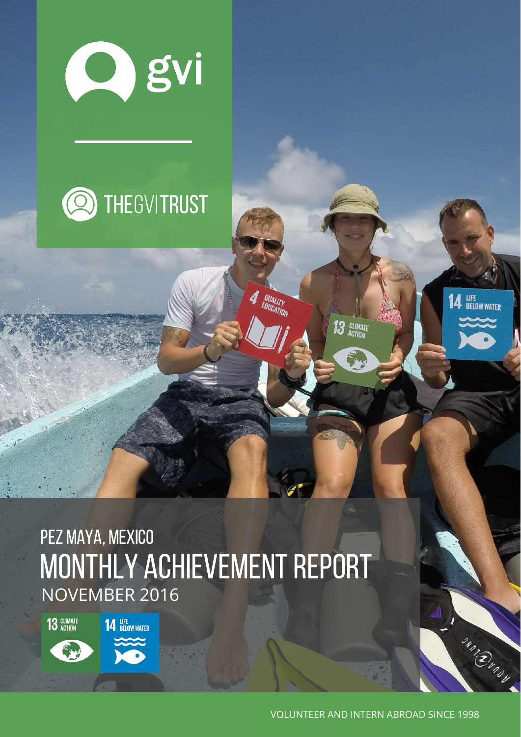



# MONTHLY ACHIEVEMENT REPORT NOVEMBER 2016 PEZ MAYA, MEXICO

**QUALITY** 

13 GLIMATE

13 GLIMATE

**14 BELOW WATER** 

VOLUNTEER AND INTERN ABROAD SINCE 1998

**14 LIFE**<br>**14 BELOW WATER** 

**SAMBLING**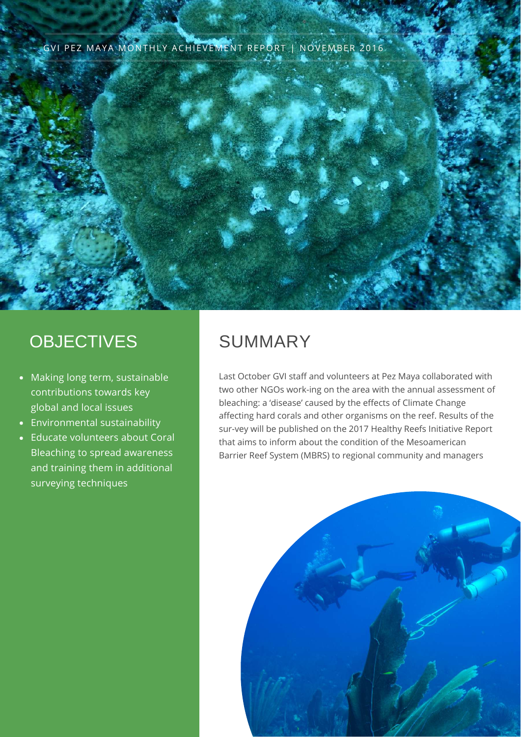#### GVI PEZ MAYA MONTHLY ACHIEVEMENT REPORT | NOVEMBER 2016



#### **OBJECTIVES**

- Making long term, sustainable contributions towards key global and local issues
- Environmental sustainability
- Educate volunteers about Coral Bleaching to spread awareness and training them in additional surveying techniques

### SUMMARY

Last October GVI staff and volunteers at Pez Maya collaborated with two other NGOs work-ing on the area with the annual assessment of bleaching: a 'disease' caused by the effects of Climate Change affecting hard corals and other organisms on the reef. Results of the sur-vey will be published on the 2017 Healthy Reefs Initiative Report that aims to inform about the condition of the [Mesoamerican](https://www.facebook.com/groups/132421390258406/) Barrier Reef System (MBRS) to regional community and managers

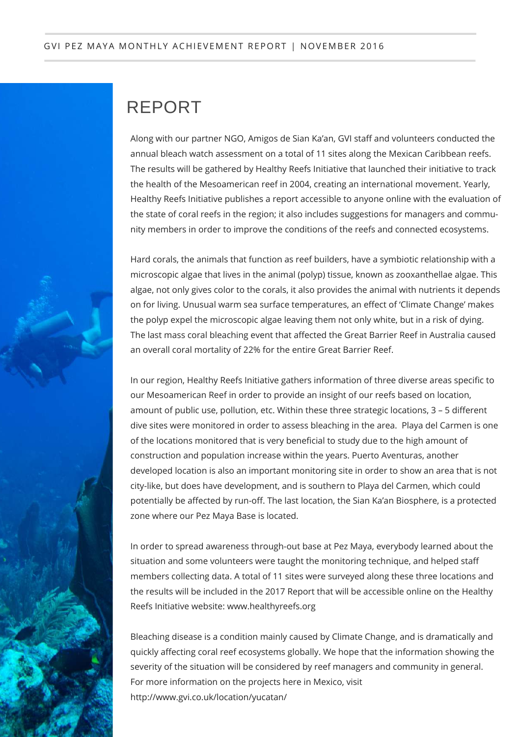### REPORT

Along with our partner NGO, Amigos de Sian Ka'an, GVI staff and volunteers conducted the annual bleach watch assessment on a total of 11 sites along the Mexican Caribbean reefs. The results will be gathered by Healthy Reefs Initiative that launched their initiative to track the health of the Mesoamerican reef in 2004, creating an international movement. Yearly, Healthy Reefs Initiative publishes a report accessible to anyone online with the evaluation of the state of coral reefs in the region; it also includes suggestions for managers and community members in order to improve the conditions of the reefs and connected ecosystems.

Hard corals, the animals that function as reef builders, have a symbiotic relationship with a microscopic algae that lives in the animal (polyp) tissue, known as zooxanthellae algae. This algae, not only gives color to the corals, it also provides the animal with nutrients it depends on for living. Unusual warm sea surface temperatures, an effect of 'Climate Change' makes the polyp expel the microscopic algae leaving them not only white, but in a risk of dying. The last mass coral bleaching event that affected the Great Barrier Reef in Australia caused an overall coral mortality of 22% for the entire Great Barrier Reef.

In our region, Healthy Reefs Initiative gathers information of three diverse areas specific to our Mesoamerican Reef in order to provide an insight of our reefs based on location, amount of public use, pollution, etc. Within these three strategic locations, 3 – 5 different dive sites were monitored in order to assess bleaching in the area. Playa del Carmen is one of the locations monitored that is very beneficial to study due to the high amount of construction and population increase within the years. Puerto Aventuras, another developed location is also an important monitoring site in order to show an area that is not city-like, but does have development, and is southern to Playa del Carmen, which could potentially be affected by run-off. The last location, the Sian Ka'an Biosphere, is a protected zone where our Pez Maya Base is located.

In order to spread awareness through-out base at Pez Maya, everybody learned about the situation and some volunteers were taught the monitoring technique, and helped staff members collecting data. A total of 11 sites were surveyed along these three locations and the results will be included in the 2017 Report that will be accessible online on the Healthy Reefs Initiative website: www.healthyreefs.org

Bleaching disease is a condition mainly caused by Climate Change, and is dramatically and quickly affecting coral reef ecosystems globally. We hope that the information showing the severity of the situation will be considered by reef managers and community in general. For more information on the projects here in Mexico, visit http://www.gvi.co.uk/location/yucatan/